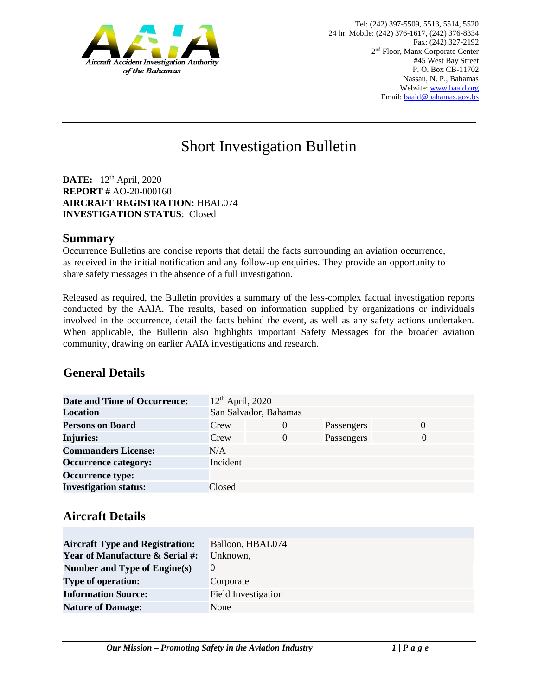

# Short Investigation Bulletin

**DATE:** 12<sup>th</sup> April, 2020 **REPORT #** AO-20-000160 **AIRCRAFT REGISTRATION:** HBAL074 **INVESTIGATION STATUS**: Closed

#### **Summary**

Occurrence Bulletins are concise reports that detail the facts surrounding an aviation occurrence, as received in the initial notification and any follow-up enquiries. They provide an opportunity to share safety messages in the absence of a full investigation*.* 

Released as required, the Bulletin provides a summary of the less-complex factual investigation reports conducted by the AAIA. The results, based on information supplied by organizations or individuals involved in the occurrence, detail the facts behind the event, as well as any safety actions undertaken. When applicable, the Bulletin also highlights important Safety Messages for the broader aviation community, drawing on earlier AAIA investigations and research.

### **General Details**

| <b>Date and Time of Occurrence:</b> | $12th$ April, 2020    |          |            |          |
|-------------------------------------|-----------------------|----------|------------|----------|
| <b>Location</b>                     | San Salvador, Bahamas |          |            |          |
| <b>Persons on Board</b>             | Crew                  | $\theta$ | Passengers | $\theta$ |
| <b>Injuries:</b>                    | Crew                  | 0        | Passengers | $\Omega$ |
| <b>Commanders License:</b>          | N/A                   |          |            |          |
| <b>Occurrence category:</b>         | Incident              |          |            |          |
| <b>Occurrence type:</b>             |                       |          |            |          |
| <b>Investigation status:</b>        | Closed                |          |            |          |

### **Aircraft Details**

| <b>Aircraft Type and Registration:</b>     | Balloon, HBAL074    |
|--------------------------------------------|---------------------|
| <b>Year of Manufacture &amp; Serial #:</b> | Unknown,            |
| Number and Type of Engine(s)               | $\theta$            |
| <b>Type of operation:</b>                  | Corporate           |
| <b>Information Source:</b>                 | Field Investigation |
| <b>Nature of Damage:</b>                   | None                |